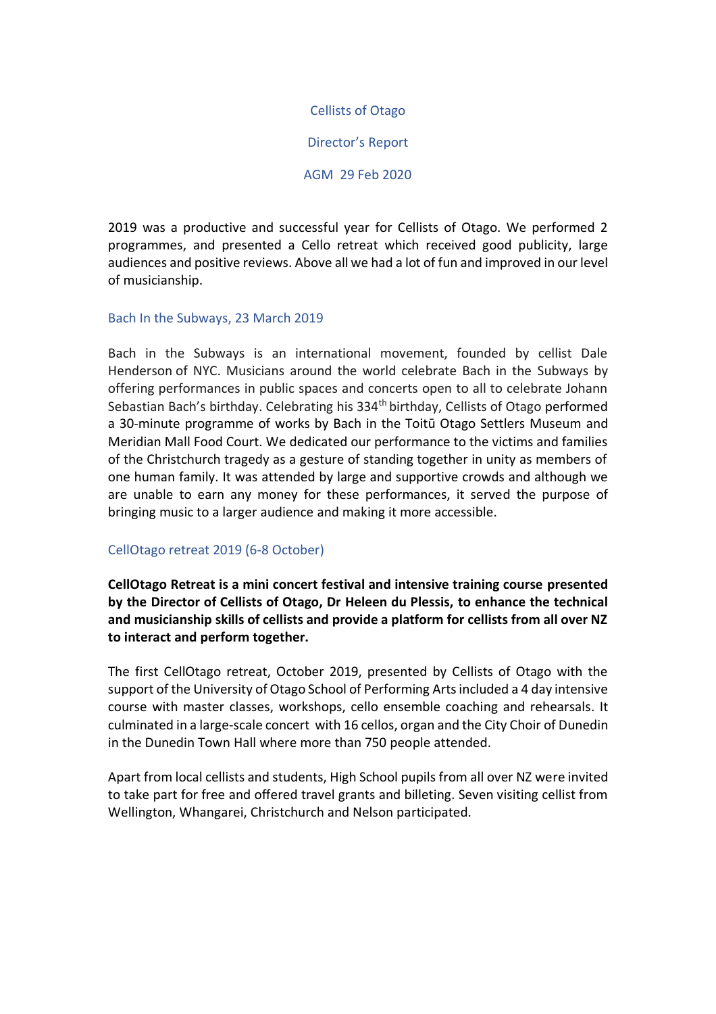Cellists of Otago

Director's Report

AGM 29 Feb 2020

2019 was a productive and successful year for Cellists of Otago. We performed 2 programmes, and presented a Cello retreat which received good publicity, large audiences and positive reviews. Above all we had a lot of fun and improved in our level of musicianship.

# Bach In the Subways, 23 March 2019

Bach in the Subways is an international movement, founded by cellist Dale Henderson of NYC. Musicians around the world celebrate Bach in the Subways by offering performances in public spaces and concerts open to all to celebrate Johann Sebastian Bach's birthday. Celebrating his 334th birthday, Cellists of Otago performed a 30-minute programme of works by Bach in the Toitū Otago Settlers Museum and Meridian Mall Food Court. We dedicated our performance to the victims and families of the Christchurch tragedy as a gesture of standing together in unity as members of one human family. It was attended by large and supportive crowds and although we are unable to earn any money for these performances, it served the purpose of bringing music to a larger audience and making it more accessible.

#### CellOtago retreat 2019 (6-8 October)

**CellOtago Retreat is a mini concert festival and intensive training course presented by the Director of Cellists of Otago, Dr Heleen du Plessis, to enhance the technical and musicianship skills of cellists and provide a platform for cellists from all over NZ to interact and perform together.** 

The first CellOtago retreat, October 2019, presented by Cellists of Otago with the support of the University of Otago School of Performing Arts included a 4 day intensive course with master classes, workshops, cello ensemble coaching and rehearsals. It culminated in a large-scale concert with 16 cellos, organ and the City Choir of Dunedin in the Dunedin Town Hall where more than 750 people attended.

Apart from local cellists and students, High School pupils from all over NZ were invited to take part for free and offered travel grants and billeting. Seven visiting cellist from Wellington, Whangarei, Christchurch and Nelson participated.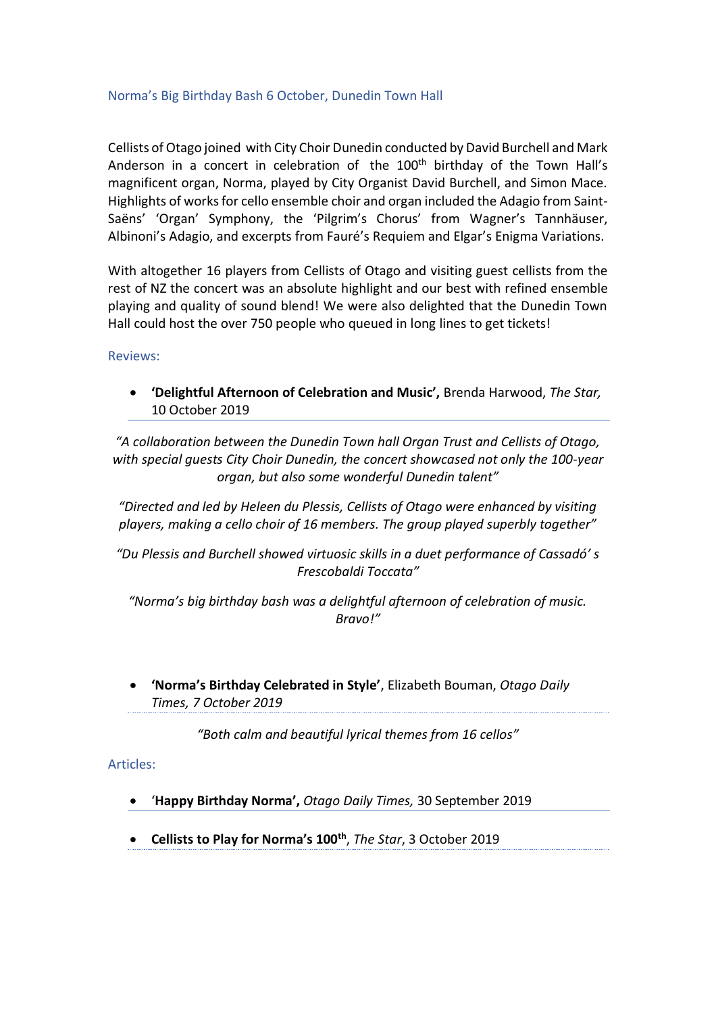# Norma's Big Birthday Bash 6 October, Dunedin Town Hall

Cellists of Otago joined with City Choir Dunedin conducted by David Burchell and Mark Anderson in a concert in celebration of the 100<sup>th</sup> birthday of the Town Hall's magnificent organ, Norma, played by City Organist David Burchell, and Simon Mace. Highlights of works for cello ensemble choir and organ included the Adagio from Saint-Saëns' 'Organ' Symphony, the 'Pilgrim's Chorus' from Wagner's Tannhäuser, Albinoni's Adagio, and excerpts from Fauré's Requiem and Elgar's Enigma Variations.

With altogether 16 players from Cellists of Otago and visiting guest cellists from the rest of NZ the concert was an absolute highlight and our best with refined ensemble playing and quality of sound blend! We were also delighted that the Dunedin Town Hall could host the over 750 people who queued in long lines to get tickets!

Reviews:

• **'Delightful Afternoon of Celebration and Music',** Brenda Harwood, *The Star,* 10 October 2019

*"A collaboration between the Dunedin Town hall Organ Trust and Cellists of Otago, with special guests City Choir Dunedin, the concert showcased not only the 100-year organ, but also some wonderful Dunedin talent"*

*"Directed and led by Heleen du Plessis, Cellists of Otago were enhanced by visiting players, making a cello choir of 16 members. The group played superbly together"*

*"Du Plessis and Burchell showed virtuosic skills in a duet performance of Cassadó' s Frescobaldi Toccata"*

*"Norma's big birthday bash was a delightful afternoon of celebration of music. Bravo!"*

• **'Norma's Birthday Celebrated in Style'**, Elizabeth Bouman, *Otago Daily Times, 7 October 2019*

*"Both calm and beautiful lyrical themes from 16 cellos"*

Articles:

- '**Happy Birthday Norma',** *Otago Daily Times,* 30 September 2019
- **Cellists to Play for Norma's 100th** , *The Star*, 3 October 2019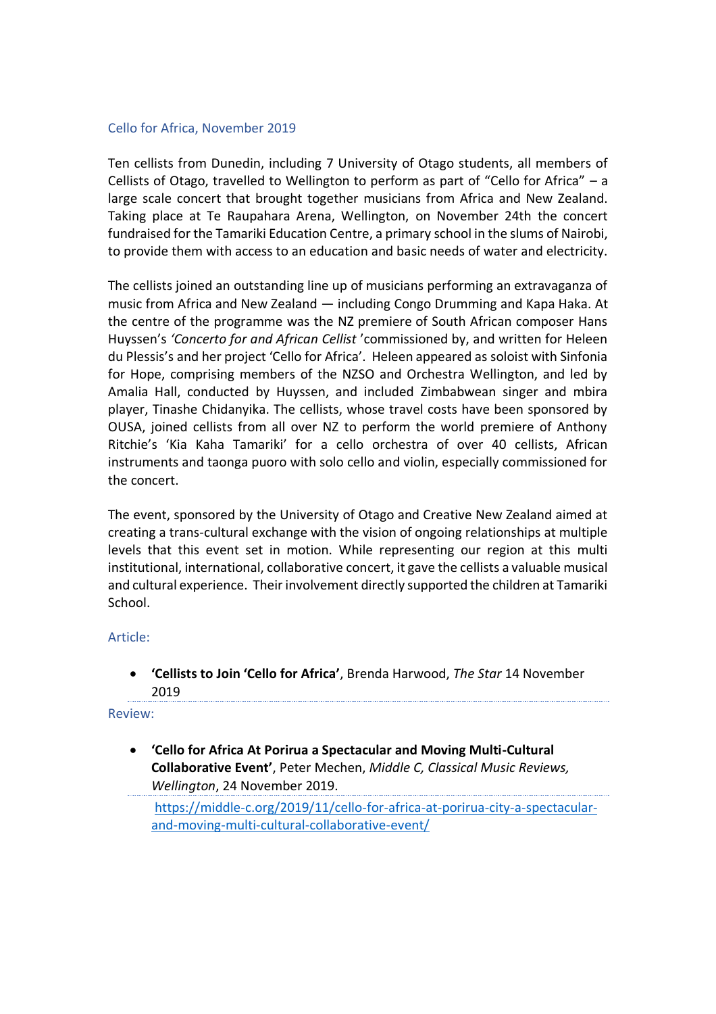# Cello for Africa, November 2019

Ten cellists from Dunedin, including 7 University of Otago students, all members of Cellists of Otago, travelled to Wellington to perform as part of "Cello for Africa" – a large scale concert that brought together musicians from Africa and New Zealand. Taking place at Te Raupahara Arena, Wellington, on November 24th the concert fundraised for the Tamariki Education Centre, a primary school in the slums of Nairobi, to provide them with access to an education and basic needs of water and electricity.

The cellists joined an outstanding line up of musicians performing an extravaganza of music from Africa and New Zealand — including Congo Drumming and Kapa Haka. At the centre of the programme was the NZ premiere of South African composer Hans Huyssen's *'Concerto for and African Cellist* 'commissioned by, and written for Heleen du Plessis's and her project 'Cello for Africa'. Heleen appeared as soloist with Sinfonia for Hope, comprising members of the NZSO and Orchestra Wellington, and led by Amalia Hall, conducted by Huyssen, and included Zimbabwean singer and mbira player, Tinashe Chidanyika. The cellists, whose travel costs have been sponsored by OUSA, joined cellists from all over NZ to perform the world premiere of Anthony Ritchie's 'Kia Kaha Tamariki' for a cello orchestra of over 40 cellists, African instruments and taonga puoro with solo cello and violin, especially commissioned for the concert.

The event, sponsored by the University of Otago and Creative New Zealand aimed at creating a trans-cultural exchange with the vision of ongoing relationships at multiple levels that this event set in motion. While representing our region at this multi institutional, international, collaborative concert, it gave the cellists a valuable musical and cultural experience. Their involvement directly supported the children at Tamariki School.

#### Article:

• **'Cellists to Join 'Cello for Africa'**, Brenda Harwood, *The Star* 14 November 2019

Review:

• **'Cello for Africa At Porirua a Spectacular and Moving Multi-Cultural Collaborative Event'**, [Peter Mechen,](https://middle-c.org/author/peter/) *Middle C, Classical Music Reviews, Wellington*, 24 November 2019.

[https://middle-c.org/2019/11/cello-for-africa-at-porirua-city-a-spectacular](https://middle-c.org/2019/11/cello-for-africa-at-porirua-city-a-spectacular-and-moving-multi-cultural-collaborative-event/)[and-moving-multi-cultural-collaborative-event/](https://middle-c.org/2019/11/cello-for-africa-at-porirua-city-a-spectacular-and-moving-multi-cultural-collaborative-event/)